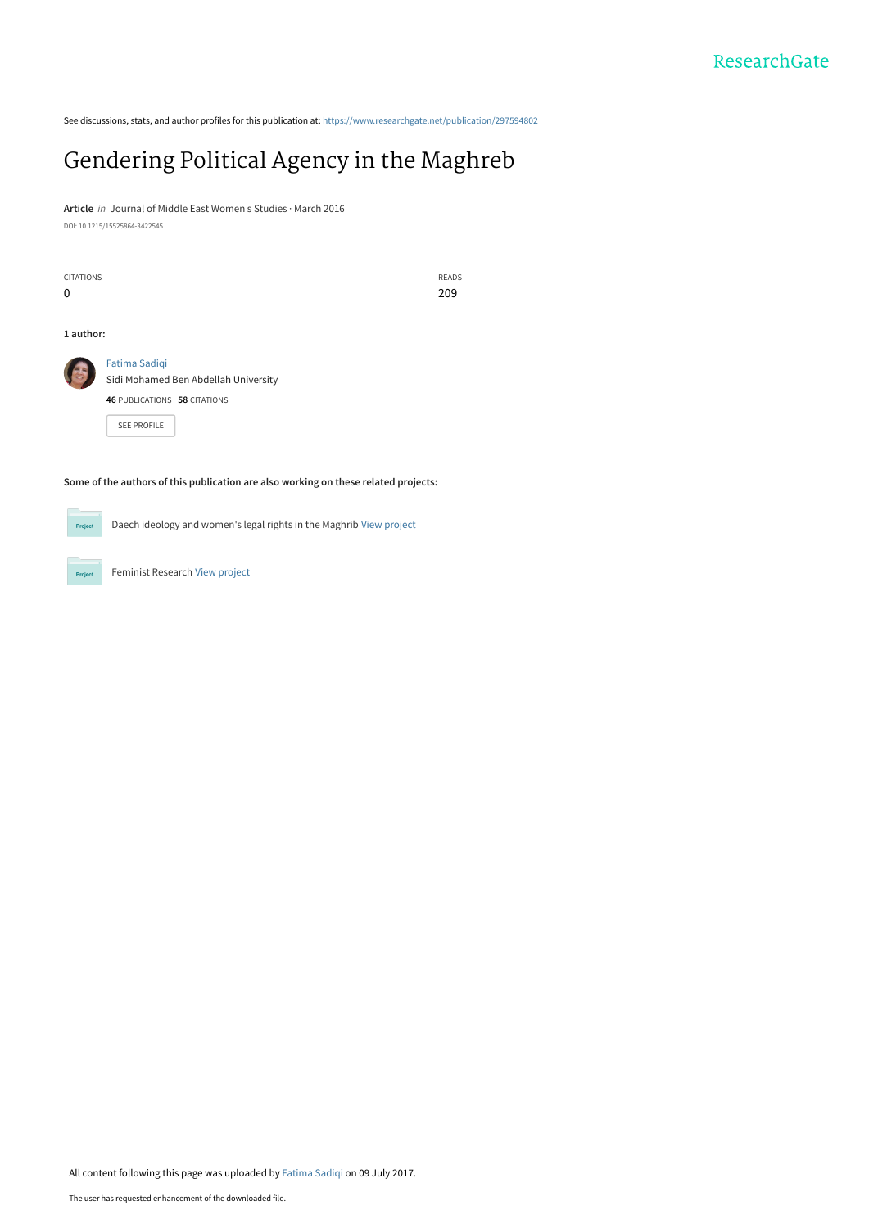See discussions, stats, and author profiles for this publication at: [https://www.researchgate.net/publication/297594802](https://www.researchgate.net/publication/297594802_Gendering_Political_Agency_in_the_Maghreb?enrichId=rgreq-b35c40df00543d95c7e10c8903c87391-XXX&enrichSource=Y292ZXJQYWdlOzI5NzU5NDgwMjtBUzo1MTQyMzA1NTEwOTMyNDhAMTQ5OTYxMzUyNTQzMA%3D%3D&el=1_x_2&_esc=publicationCoverPdf)

## [Gendering Political Agency in the Maghreb](https://www.researchgate.net/publication/297594802_Gendering_Political_Agency_in_the_Maghreb?enrichId=rgreq-b35c40df00543d95c7e10c8903c87391-XXX&enrichSource=Y292ZXJQYWdlOzI5NzU5NDgwMjtBUzo1MTQyMzA1NTEwOTMyNDhAMTQ5OTYxMzUyNTQzMA%3D%3D&el=1_x_3&_esc=publicationCoverPdf)

**Article** in Journal of Middle East Women s Studies · March 2016 DOI: 10.1215/15525864-3422545

Feminist Research [View project](https://www.researchgate.net/project/Feminist-Research?enrichId=rgreq-b35c40df00543d95c7e10c8903c87391-XXX&enrichSource=Y292ZXJQYWdlOzI5NzU5NDgwMjtBUzo1MTQyMzA1NTEwOTMyNDhAMTQ5OTYxMzUyNTQzMA%3D%3D&el=1_x_9&_esc=publicationCoverPdf)

Project

| <b>CITATIONS</b><br>$\mathbf 0$                                                     |                                                                     | READS<br>209 |  |
|-------------------------------------------------------------------------------------|---------------------------------------------------------------------|--------------|--|
|                                                                                     |                                                                     |              |  |
| 1 author:                                                                           |                                                                     |              |  |
|                                                                                     | Fatima Sadiqi                                                       |              |  |
|                                                                                     | Sidi Mohamed Ben Abdellah University                                |              |  |
|                                                                                     | 46 PUBLICATIONS 58 CITATIONS                                        |              |  |
|                                                                                     | SEE PROFILE                                                         |              |  |
| Some of the authors of this publication are also working on these related projects: |                                                                     |              |  |
| Project                                                                             | Daech ideology and women's legal rights in the Maghrib View project |              |  |
|                                                                                     |                                                                     |              |  |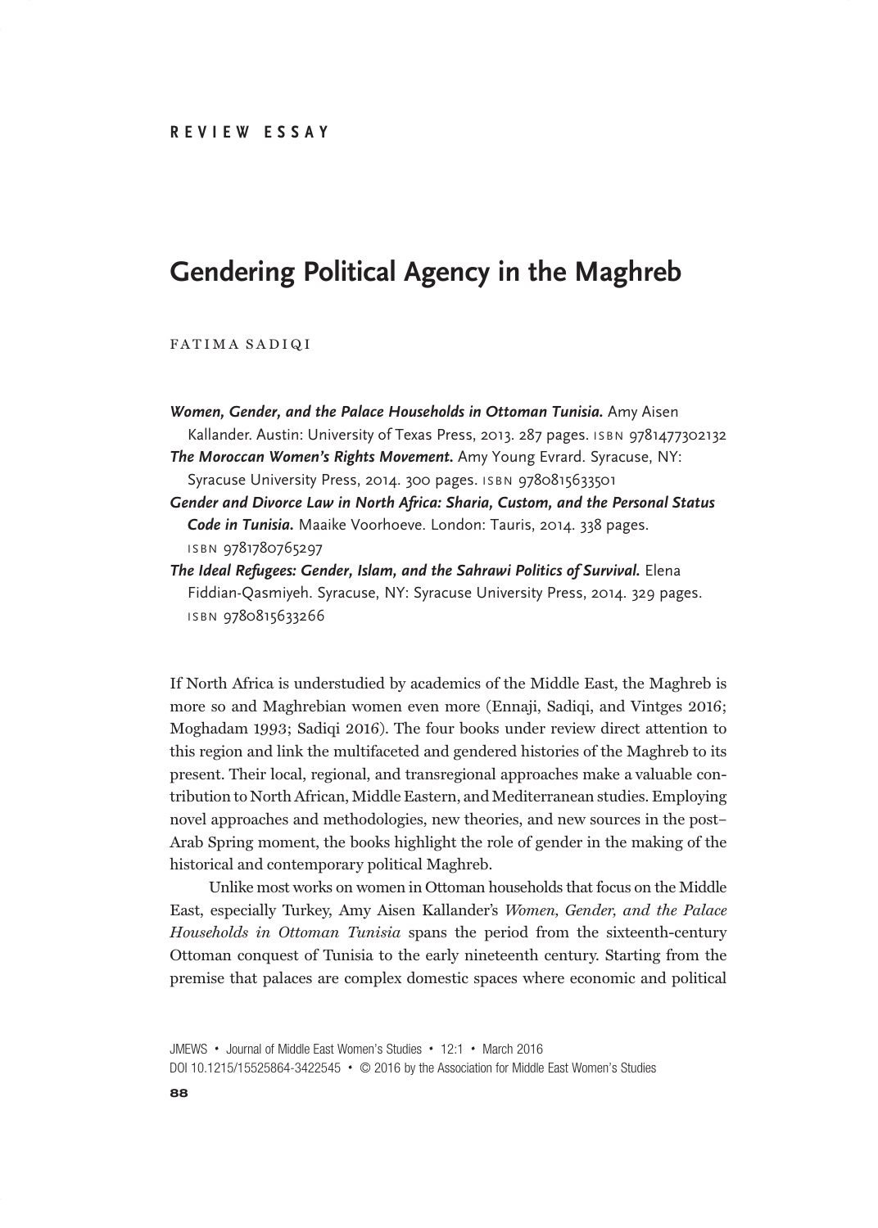## Gendering Political Agency in the Maghreb

FATIMA SADIQI

Women, Gender, and the Palace Households in Ottoman Tunisia. Amy Aisen Kallander. Austin: University of Texas Press, 2013. 287 pages. ISBN 9781477302132 The Moroccan Women's Rights Movement. Amy Young Evrard. Syracuse, NY:

Syracuse University Press, 2014. 300 pages. ISBN 9780815633501

- Gender and Divorce Law in North Africa: Sharia, Custom, and the Personal Status Code in Tunisia. Maaike Voorhoeve. London: Tauris, 2014. 338 pages. ISBN 9781780765297
- The Ideal Refugees: Gender, Islam, and the Sahrawi Politics of Survival. Elena Fiddian-Qasmiyeh. Syracuse, NY: Syracuse University Press, 2014. 329 pages. ISBN 9780815633266

If North Africa is understudied by academics of the Middle East, the Maghreb is more so and Maghrebian women even more (Ennaji, Sadiqi, and Vintges 2016; Moghadam 1993; Sadiqi 2016). The four books under review direct attention to this region and link the multifaceted and gendered histories of the Maghreb to its present. Their local, regional, and transregional approaches make a valuable contribution to North African, Middle Eastern, and Mediterranean studies. Employing novel approaches and methodologies, new theories, and new sources in the post– Arab Spring moment, the books highlight the role of gender in the making of the historical and contemporary political Maghreb.

Unlike most works on women in Ottoman households that focus on the Middle East, especially Turkey, Amy Aisen Kallander's Women, Gender, and the Palace Households in Ottoman Tunisia spans the period from the sixteenth-century Ottoman conquest of Tunisia to the early nineteenth century. Starting from the premise that palaces are complex domestic spaces where economic and political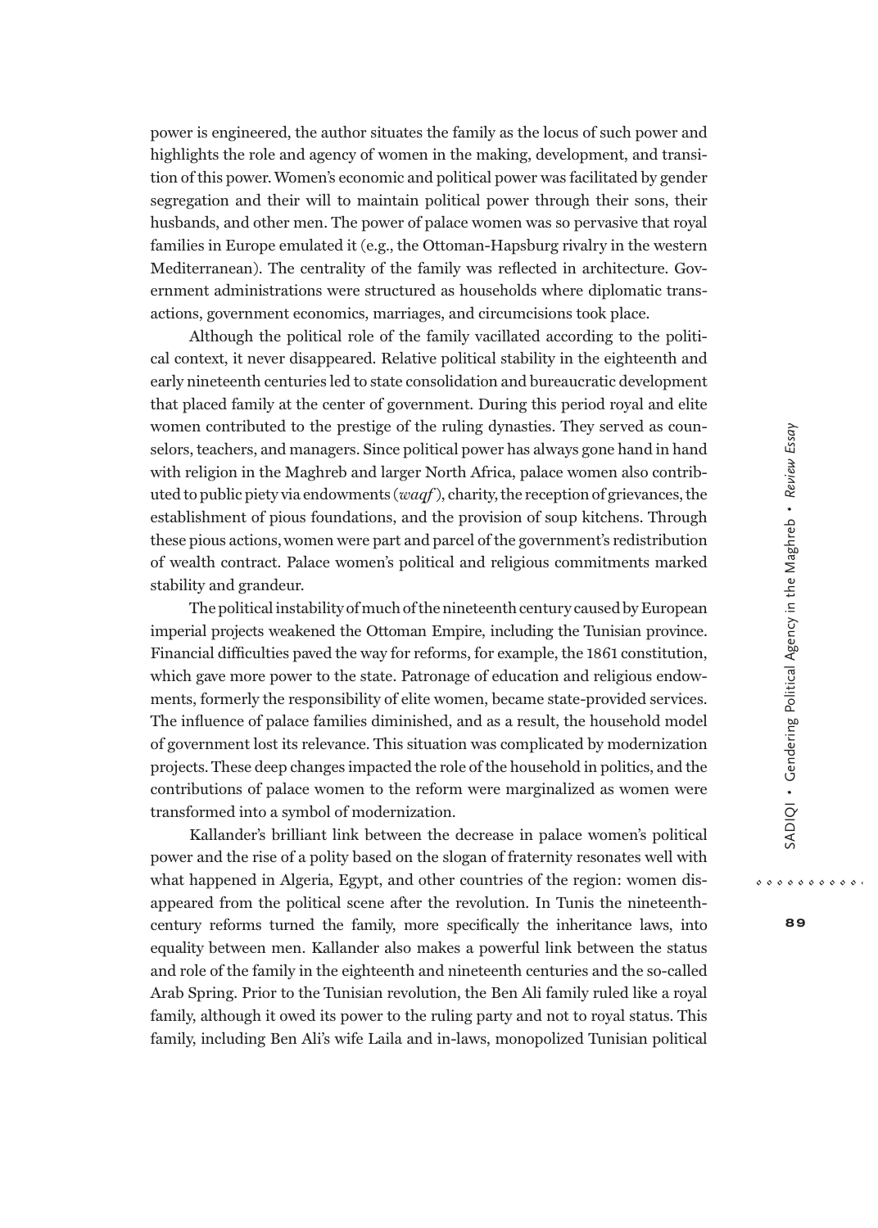power is engineered, the author situates the family as the locus of such power and highlights the role and agency of women in the making, development, and transition of this power.Women's economic and political power was facilitated by gender segregation and their will to maintain political power through their sons, their husbands, and other men. The power of palace women was so pervasive that royal families in Europe emulated it (e.g., the Ottoman-Hapsburg rivalry in the western Mediterranean). The centrality of the family was reflected in architecture. Government administrations were structured as households where diplomatic transactions, government economics, marriages, and circumcisions took place.

Although the political role of the family vacillated according to the political context, it never disappeared. Relative political stability in the eighteenth and early nineteenth centuries led to state consolidation and bureaucratic development that placed family at the center of government. During this period royal and elite women contributed to the prestige of the ruling dynasties. They served as counselors, teachers, and managers. Since political power has always gone hand in hand with religion in the Maghreb and larger North Africa, palace women also contributed to public piety via endowments (waqf ), charity, the reception of grievances, the establishment of pious foundations, and the provision of soup kitchens. Through these pious actions, women were part and parcel of the government's redistribution of wealth contract. Palace women's political and religious commitments marked stability and grandeur.

The political instability of much of the nineteenth century caused by European imperial projects weakened the Ottoman Empire, including the Tunisian province. Financial difficulties paved the way for reforms, for example, the 1861 constitution, which gave more power to the state. Patronage of education and religious endowments, formerly the responsibility of elite women, became state-provided services. The influence of palace families diminished, and as a result, the household model of government lost its relevance. This situation was complicated by modernization projects. These deep changes impacted the role of the household in politics, and the contributions of palace women to the reform were marginalized as women were transformed into a symbol of modernization.

Kallander's brilliant link between the decrease in palace women's political power and the rise of a polity based on the slogan of fraternity resonates well with what happened in Algeria, Egypt, and other countries of the region: women disappeared from the political scene after the revolution. In Tunis the nineteenthcentury reforms turned the family, more specifically the inheritance laws, into equality between men. Kallander also makes a powerful link between the status and role of the family in the eighteenth and nineteenth centuries and the so-called Arab Spring. Prior to the Tunisian revolution, the Ben Ali family ruled like a royal family, although it owed its power to the ruling party and not to royal status. This family, including Ben Ali's wife Laila and in-laws, monopolized Tunisian political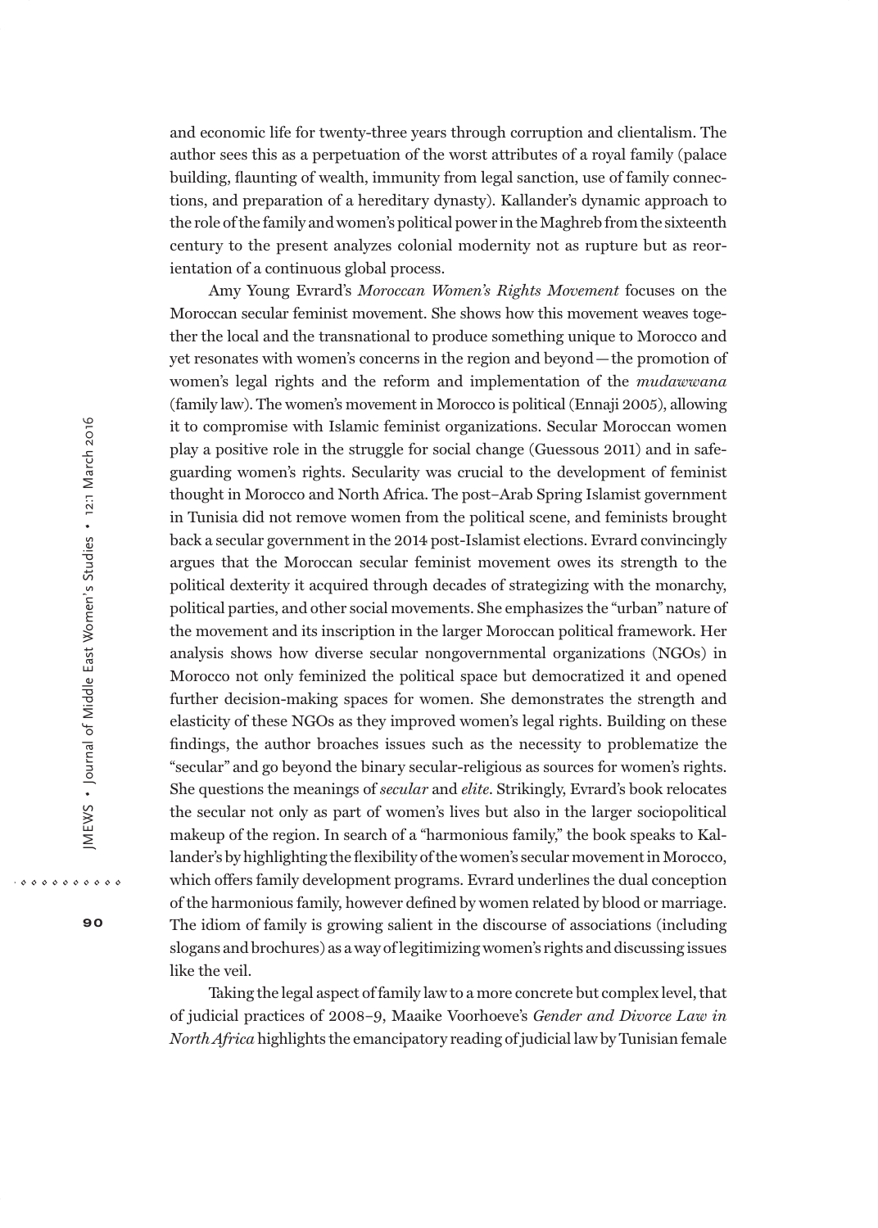and economic life for twenty-three years through corruption and clientalism. The author sees this as a perpetuation of the worst attributes of a royal family (palace building, flaunting of wealth, immunity from legal sanction, use of family connections, and preparation of a hereditary dynasty). Kallander's dynamic approach to the role of the family and women 's political power in the Maghreb from the sixteenth century to the present analyzes colonial modernity not as rupture but as reorientation of a continuous global process.

Amy Young Evrard's Moroccan Women's Rights Movement focuses on the ' Moroccan secular feminist movement. She shows how this movement weaves together the local and the transnational to produce something unique to Morocco and yet resonates with women 's concerns in the region and beyond —the promotion of women's legal rights and the reform and implementation of the *mudawwana* (family law). The women 's movement in Morocco is political (Ennaji 2005), allowing it to compromise with Islamic feminist organizations. Secular Moroccan women play a positive role in the struggle for social change (Guessous 2011) and in safeguarding women's rights. Secularity was crucial to the development of feminist thought in Morocco and North Africa. The post –Arab Spring Islamist government in Tunisia did not remove women from the political scene, and feminists brought back a secular government in the 2014 post-Islamist elections. Evrard convincingly argues that the Moroccan secular feminist movement owes its strength to the political dexterity it acquired through decades of strategizing with the monarchy, political parties, and other social movements. She emphasizes the "urban " nature of the movement and its inscription in the larger Moroccan political framework. Her analysis shows how diverse secular nongovernmental organizations (NGOs) in Morocco not only feminized the political space but democratized it and opened further decision-making spaces for women. She demonstrates the strength and elasticity of these NGOs as they improved women 's legal rights. Building on these findings, the author broaches issues such as the necessity to problematize the "secular" and go beyond the binary secular-religious as sources for women's rights. She questions the meanings of *secular* and *elite*. Strikingly, Evrard's book relocates the secular not only as part of women 's lives but also in the larger sociopolitical makeup of the region. In search of a "harmonious family," the book speaks to Kallander's by highlighting the flexibility of the women's secular movement in Morocco, which offers family development programs. Evrard underlines the dual conception of the harmonious family, however de fined by women related by blood or marriage. The idiom of family is growing salient in the discourse of associations (including slogans and brochures) as a way of legitimizing women 's rights and discussing issues like the veil.

Taking the legal aspect of family law to a more concrete but complex level, that of judicial practices of 2008-9, Maaike Voorhoeve's Gender and Divorce Law in North Africa highlights the emancipatory reading of judicial law by Tunisian female

9 0

 $\ddot{\circ}$   $\dot{\circ}$   $\dot{\circ}$   $\dot{\circ}$   $\dot{\circ}$   $\dot{\circ}$   $\dot{\circ}$   $\dot{\circ}$   $\dot{\circ}$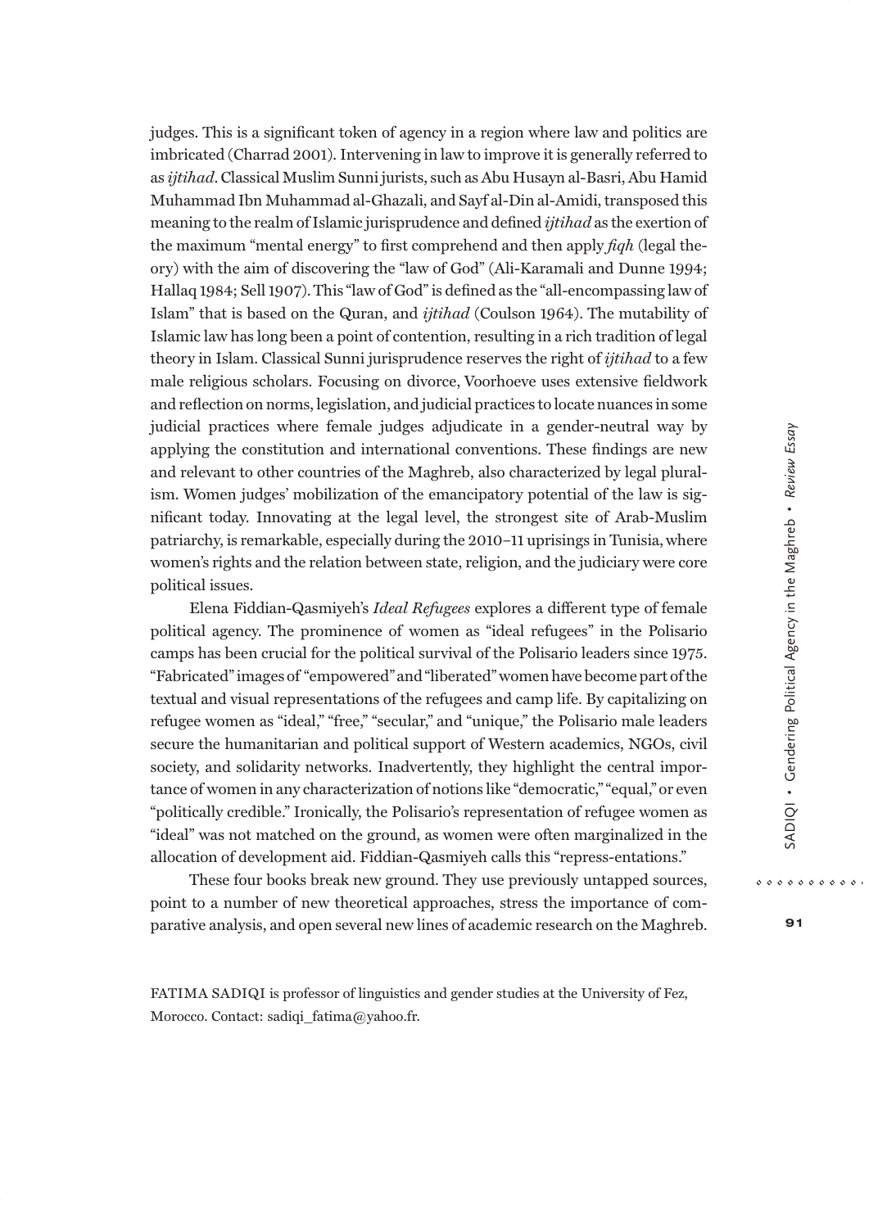judges. This is a significant token of agency in a region where law and politics are imbricated (Charrad 2001). Intervening in law to improve it is generally referred to as ijtihad. Classical Muslim Sunni jurists, such as Abu Husayn al-Basri, Abu Hamid Muhammad Ibn Muhammad al-Ghazali, and Sayf al-Din al-Amidi, transposed this meaning to the realm of Islamic jurisprudence and defined ijtihad as the exertion of the maximum "mental energy" to first comprehend and then apply *fiqh* (legal theory) with the aim of discovering the "law of God" (Ali-Karamali and Dunne 1994; Hallaq 1984; Sell 1907). This "law of God" is defined as the "all-encompassing law of Islam" that is based on the Quran, and ijtihad (Coulson 1964). The mutability of Islamic law has long been a point of contention, resulting in a rich tradition of legal theory in Islam. Classical Sunni jurisprudence reserves the right of *ijtihad* to a few male religious scholars. Focusing on divorce, Voorhoeve uses extensive fieldwork and reflection on norms, legislation, and judicial practices to locate nuances in some judicial practices where female judges adjudicate in a gender-neutral way by applying the constitution and international conventions. These findings are new and relevant to other countries of the Maghreb, also characterized by legal pluralism. Women judges' mobilization of the emancipatory potential of the law is significant today. Innovating at the legal level, the strongest site of Arab-Muslim patriarchy, is remarkable, especially during the 2010–11 uprisings in Tunisia, where women's rights and the relation between state, religion, and the judiciary were core political issues.

Elena Fiddian-Qasmiyeh's Ideal Refugees explores a different type of female political agency. The prominence of women as "ideal refugees" in the Polisario camps has been crucial for the political survival of the Polisario leaders since 1975. "Fabricated"images of "empowered" and "liberated" women have become part of the textual and visual representations of the refugees and camp life. By capitalizing on refugee women as "ideal," "free," "secular," and "unique," the Polisario male leaders secure the humanitarian and political support of Western academics, NGOs, civil society, and solidarity networks. Inadvertently, they highlight the central importance of women in any characterization of notions like "democratic," "equal," or even "politically credible." Ironically, the Polisario's representation of refugee women as "ideal" was not matched on the ground, as women were often marginalized in the allocation of development aid. Fiddian-Qasmiyeh calls this "repress-entations."

These four books break new ground. They use previously untapped sources, point to a number of new theoretical approaches, stress the importance of comparative analysis, and open several new lines of academic research on the Maghreb.

FATIMA SADIQI is professor of linguistics and gender studies at the University of Fez, Morocco. Contact: sadiqi\_fatima@yahoo.fr.